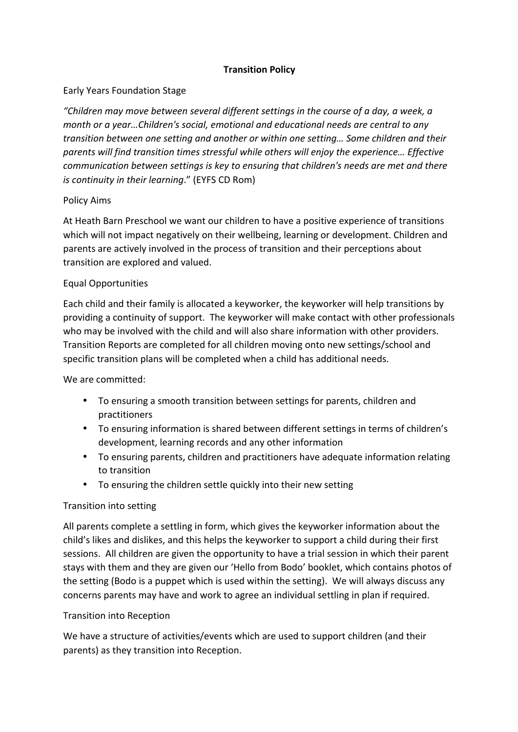## **Transition Policy**

## Early Years Foundation Stage

*"Children may move between several different settings in the course of a day, a week, a month* or a year...Children's social, emotional and educational needs are central to any transition between one setting and another or within one setting... Some children and their parents will find transition times stressful while others will enjoy the experience... Effective *communication between settings is key to ensuring that children's needs are met and there is continuity in their learning.*" (EYFS CD Rom)

## Policy Aims

At Heath Barn Preschool we want our children to have a positive experience of transitions which will not impact negatively on their wellbeing, learning or development. Children and parents are actively involved in the process of transition and their perceptions about transition are explored and valued.

## Equal Opportunities

Each child and their family is allocated a keyworker, the keyworker will help transitions by providing a continuity of support. The keyworker will make contact with other professionals who may be involved with the child and will also share information with other providers. Transition Reports are completed for all children moving onto new settings/school and specific transition plans will be completed when a child has additional needs.

## We are committed:

- To ensuring a smooth transition between settings for parents, children and practitioners
- To ensuring information is shared between different settings in terms of children's development, learning records and any other information
- To ensuring parents, children and practitioners have adequate information relating to transition
- To ensuring the children settle quickly into their new setting

## Transition into setting

All parents complete a settling in form, which gives the keyworker information about the child's likes and dislikes, and this helps the keyworker to support a child during their first sessions. All children are given the opportunity to have a trial session in which their parent stays with them and they are given our 'Hello from Bodo' booklet, which contains photos of the setting (Bodo is a puppet which is used within the setting). We will always discuss any concerns parents may have and work to agree an individual settling in plan if required.

## Transition into Reception

We have a structure of activities/events which are used to support children (and their parents) as they transition into Reception.